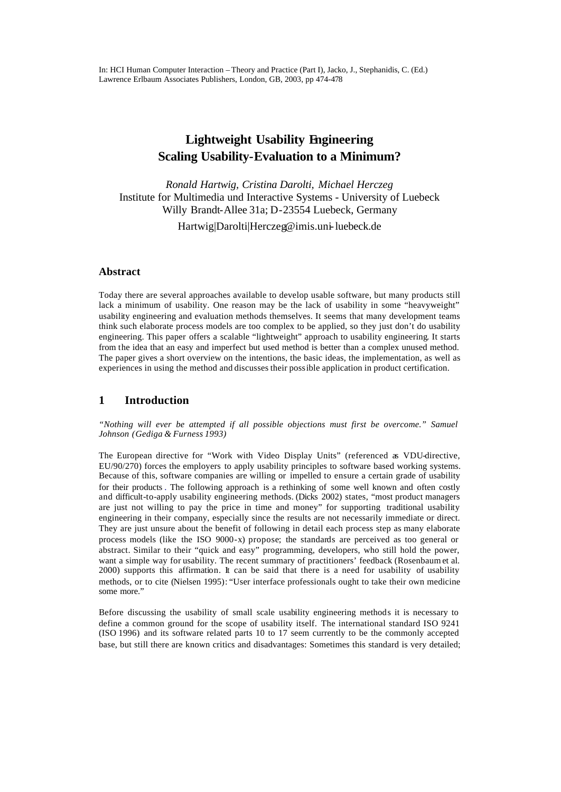In: HCI Human Computer Interaction – Theory and Practice (Part I), Jacko, J., Stephanidis, C. (Ed.) Lawrence Erlbaum Associates Publishers, London, GB, 2003, pp 474-478

# **Lightweight Usability Engineering Scaling Usability-Evaluation to a Minimum?**

*Ronald Hartwig, Cristina Darolti, Michael Herczeg* Institute for Multimedia und Interactive Systems - University of Luebeck Willy Brandt-Allee 31a; D-23554 Luebeck, Germany

Hartwig|Darolti|Herczeg@imis.uni-luebeck.de

### **Abstract**

Today there are several approaches available to develop usable software, but many products still lack a minimum of usability. One reason may be the lack of usability in some "heavyweight" usability engineering and evaluation methods themselves. It seems that many development teams think such elaborate process models are too complex to be applied, so they just don't do usability engineering. This paper offers a scalable "lightweight" approach to usability engineering. It starts from the idea that an easy and imperfect but used method is better than a complex unused method. The paper gives a short overview on the intentions, the basic ideas, the implementation, as well as experiences in using the method and discusses their possible application in product certification.

### **1 Introduction**

*"Nothing will ever be attempted if all possible objections must first be overcome." Samuel Johnson (Gediga & Furness 1993)*

The European directive for "Work with Video Display Units" (referenced as VDU-directive, EU/90/270) forces the employers to apply usability principles to software based working systems. Because of this, software companies are willing or impelled to ensure a certain grade of usability for their products . The following approach is a rethinking of some well known and often costly and difficult-to-apply usability engineering methods. (Dicks 2002) states, "most product managers are just not willing to pay the price in time and money" for supporting traditional usability engineering in their company, especially since the results are not necessarily immediate or direct. They are just unsure about the benefit of following in detail each process step as many elaborate process models (like the ISO 9000-x) propose; the standards are perceived as too general or abstract. Similar to their "quick and easy" programming, developers, who still hold the power, want a simple way for usability. The recent summary of practitioners' feedback (Rosenbaum et al. 2000) supports this affirmation. It can be said that there is a need for usability of usability methods, or to cite (Nielsen 1995): "User interface professionals ought to take their own medicine some more."

Before discussing the usability of small scale usability engineering methods it is necessary to define a common ground for the scope of usability itself. The international standard ISO 9241 (ISO 1996) and its software related parts 10 to 17 seem currently to be the commonly accepted base, but still there are known critics and disadvantages: Sometimes this standard is very detailed;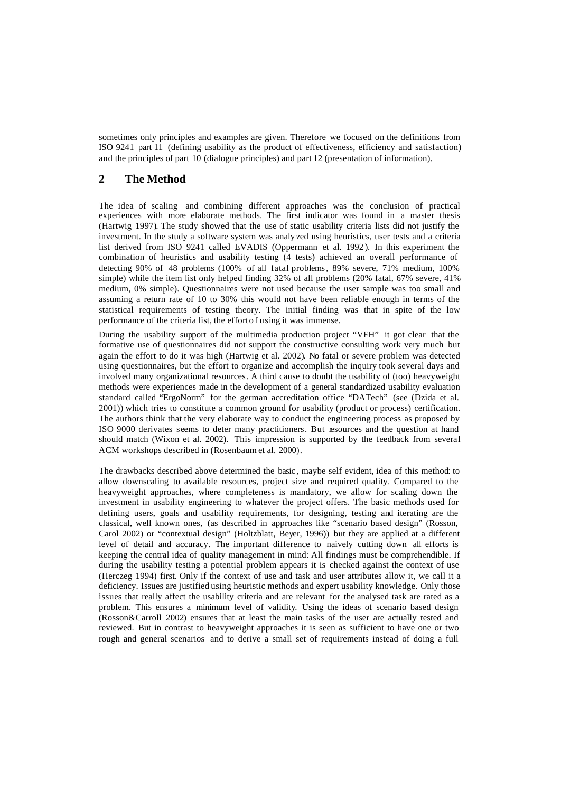sometimes only principles and examples are given. Therefore we focused on the definitions from ISO 9241 part 11 (defining usability as the product of effectiveness, efficiency and satisfaction) and the principles of part 10 (dialogue principles) and part 12 (presentation of information).

## **2 The Method**

The idea of scaling and combining different approaches was the conclusion of practical experiences with more elaborate methods. The first indicator was found in a master thesis (Hartwig 1997). The study showed that the use of static usability criteria lists did not justify the investment. In the study a software system was analy zed using heuristics, user tests and a criteria list derived from ISO 9241 called EVADIS (Oppermann et al. 1992 ). In this experiment the combination of heuristics and usability testing (4 tests) achieved an overall performance of detecting 90% of 48 problems (100% of all fatal problems, 89% severe, 71% medium, 100% simple) while the item list only helped finding 32% of all problems (20% fatal, 67% severe, 41% medium, 0% simple). Questionnaires were not used because the user sample was too small and assuming a return rate of 10 to 30% this would not have been reliable enough in terms of the statistical requirements of testing theory. The initial finding was that in spite of the low performance of the criteria list, the effort of using it was immense.

During the usability support of the multimedia production project "VFH" it got clear that the formative use of questionnaires did not support the constructive consulting work very much but again the effort to do it was high (Hartwig et al. 2002). No fatal or severe problem was detected using questionnaires, but the effort to organize and accomplish the inquiry took several days and involved many organizational resources. A third cause to doubt the usability of (too) heavyweight methods were experiences made in the development of a general standardized usability evaluation standard called "ErgoNorm" for the german accreditation office "DATech" (see (Dzida et al. 2001)) which tries to constitute a common ground for usability (product or process) certification. The authors think that the very elaborate way to conduct the engineering process as proposed by ISO 9000 derivates seems to deter many practitioners. But resources and the question at hand should match (Wixon et al. 2002). This impression is supported by the feedback from several ACM workshops described in (Rosenbaum et al. 2000).

The drawbacks described above determined the basic , maybe self evident, idea of this method: to allow downscaling to available resources, project size and required quality. Compared to the heavyweight approaches, where completeness is mandatory, we allow for scaling down the investment in usability engineering to whatever the project offers. The basic methods used for defining users, goals and usability requirements, for designing, testing and iterating are the classical, well known ones, (as described in approaches like "scenario based design" (Rosson, Carol 2002) or "contextual design" (Holtzblatt, Beyer, 1996)) but they are applied at a different level of detail and accuracy. The important difference to naively cutting down all efforts is keeping the central idea of quality management in mind: All findings must be comprehendible. If during the usability testing a potential problem appears it is checked against the context of use (Herczeg 1994) first. Only if the context of use and task and user attributes allow it, we call it a deficiency. Issues are justified using heuristic methods and expert usability knowledge. Only those issues that really affect the usability criteria and are relevant for the analysed task are rated as a problem. This ensures a minimum level of validity. Using the ideas of scenario based design (Rosson&Carroll 2002) ensures that at least the main tasks of the user are actually tested and reviewed. But in contrast to heavyweight approaches it is seen as sufficient to have one or two rough and general scenarios and to derive a small set of requirements instead of doing a full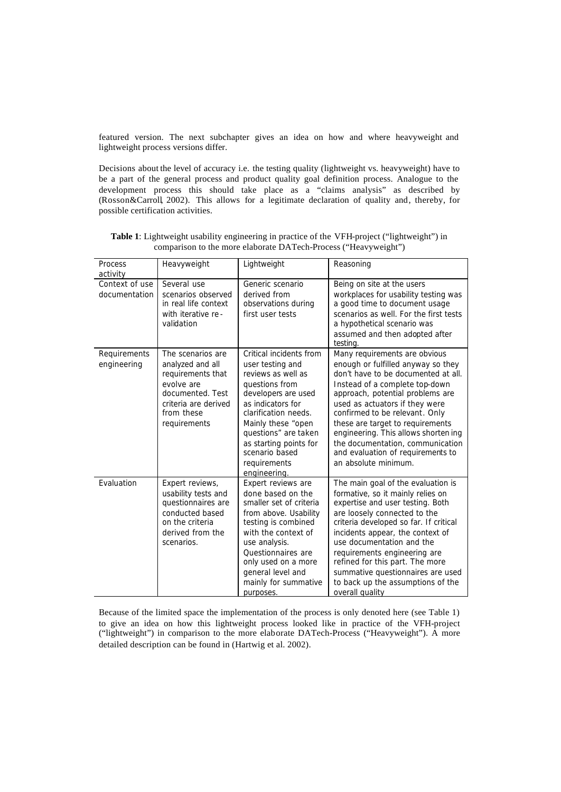featured version. The next subchapter gives an idea on how and where heavyweight and lightweight process versions differ.

Decisions about the level of accuracy i.e. the testing quality (lightweight vs. heavyweight) have to be a part of the general process and product quality goal definition process. Analogue to the development process this should take place as a "claims analysis" as described by (Rosson&Carroll, 2002). This allows for a legitimate declaration of quality and, thereby, for possible certification activities.

| Process<br>activity             | Heavyweight                                                                                                                                        | Lightweight                                                                                                                                                                                                                                                                       | Reasoning                                                                                                                                                                                                                                                                                                                                                                                                                         |
|---------------------------------|----------------------------------------------------------------------------------------------------------------------------------------------------|-----------------------------------------------------------------------------------------------------------------------------------------------------------------------------------------------------------------------------------------------------------------------------------|-----------------------------------------------------------------------------------------------------------------------------------------------------------------------------------------------------------------------------------------------------------------------------------------------------------------------------------------------------------------------------------------------------------------------------------|
| Context of use<br>documentation | Several use<br>scenarios observed<br>in real life context<br>with iterative re-<br>validation                                                      | Generic scenario<br>derived from<br>observations during<br>first user tests                                                                                                                                                                                                       | Being on site at the users<br>workplaces for usability testing was<br>a good time to document usage<br>scenarios as well. For the first tests<br>a hypothetical scenario was<br>assumed and then adopted after<br>testing                                                                                                                                                                                                         |
| Requirements<br>engineering     | The scenarios are<br>analyzed and all<br>requirements that<br>evolve are<br>documented. Test<br>criteria are derived<br>from these<br>requirements | Critical incidents from<br>user testing and<br>reviews as well as<br>questions from<br>developers are used<br>as indicators for<br>clarification needs.<br>Mainly these "open<br>questions" are taken<br>as starting points for<br>scenario based<br>requirements<br>engineering. | Many requirements are obvious<br>enough or fulfilled anyway so they<br>don't have to be documented at all.<br>Instead of a complete top-down<br>approach, potential problems are<br>used as actuators if they were<br>confirmed to be relevant. Only<br>these are target to requirements<br>engineering. This allows shorten ing<br>the documentation, communication<br>and evaluation of requirements to<br>an absolute minimum. |
| Evaluation                      | Expert reviews,<br>usability tests and<br>questionnaires are<br>conducted based<br>on the criteria<br>derived from the<br>scenarios.               | Expert reviews are<br>done based on the<br>smaller set of criteria<br>from above. Usability<br>testing is combined<br>with the context of<br>use analysis.<br>Questionnaires are<br>only used on a more<br>general level and<br>mainly for summative<br>purposes.                 | The main goal of the evaluation is<br>formative, so it mainly relies on<br>expertise and user testing. Both<br>are loosely connected to the<br>criteria developed so far. If critical<br>incidents appear, the context of<br>use documentation and the<br>requirements engineering are<br>refined for this part. The more<br>summative questionnaires are used<br>to back up the assumptions of the<br>overall quality            |

**Table 1**: Lightweight usability engineering in practice of the VFH-project ("lightweight") in comparison to the more elaborate DATech-Process ("Heavyweight")

Because of the limited space the implementation of the process is only denoted here (see Table 1) to give an idea on how this lightweight process looked like in practice of the VFH-project ("lightweight") in comparison to the more elaborate DATech-Process ("Heavyweight"). A more detailed description can be found in (Hartwig et al. 2002).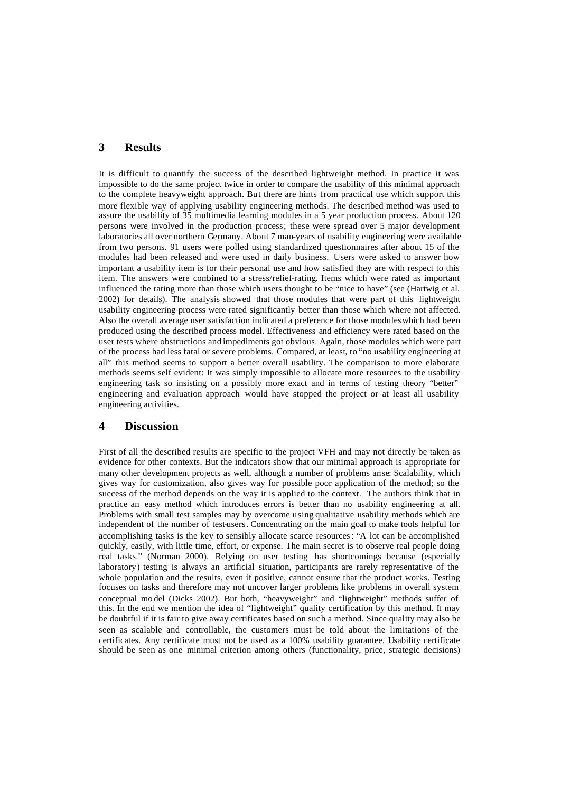### **3 Results**

It is difficult to quantify the success of the described lightweight method. In practice it was impossible to do the same project twice in order to compare the usability of this minimal approach to the complete heavyweight approach. But there are hints from practical use which support this more flexible way of applying usability engineering methods. The described method was used to assure the usability of 35 multimedia learning modules in a 5 year production process. About 120 persons were involved in the production process; these were spread over 5 major development laboratories all over northern Germany. About 7 man-years of usability engineering were available from two persons. 91 users were polled using standardized questionnaires after about 15 of the modules had been released and were used in daily business. Users were asked to answer how important a usability item is for their personal use and how satisfied they are with respect to this item. The answers were combined to a stress/relief-rating. Items which were rated as important influenced the rating more than those which users thought to be "nice to have" (see (Hartwig et al. 2002) for details). The analysis showed that those modules that were part of this lightweight usability engineering process were rated significantly better than those which where not affected. Also the overall average user satisfaction indicated a preference for those modules which had been produced using the described process model. Effectiveness and efficiency were rated based on the user tests where obstructions and impediments got obvious. Again, those modules which were part of the process had less fatal or severe problems. Compared, at least, to "no usability engineering at all" this method seems to support a better overall usability. The comparison to more elaborate methods seems self evident: It was simply impossible to allocate more resources to the usability engineering task so insisting on a possibly more exact and in terms of testing theory "better" engineering and evaluation approach would have stopped the project or at least all usability engineering activities.

### **4 Discussion**

First of all the described results are specific to the project VFH and may not directly be taken as evidence for other contexts. But the indicators show that our minimal approach is appropriate for many other development projects as well, although a number of problems arise: Scalability, which gives way for customization, also gives way for possible poor application of the method; so the success of the method depends on the way it is applied to the context. The authors think that in practice an easy method which introduces errors is better than no usability engineering at all. Problems with small test samples may by overcome using qualitative usability methods which are independent of the number of test-users. Concentrating on the main goal to make tools helpful for accomplishing tasks is the key to sensibly allocate scarce resources: "A lot can be accomplished quickly, easily, with little time, effort, or expense. The main secret is to observe real people doing real tasks." (Norman 2000). Relying on user testing has shortcomings because (especially laboratory) testing is always an artificial situation, participants are rarely representative of the whole population and the results, even if positive, cannot ensure that the product works. Testing focuses on tasks and therefore may not uncover larger problems like problems in overall system conceptual mo del (Dicks 2002). But both, "heavyweight" and "lightweight" methods suffer of this. In the end we mention the idea of "lightweight" quality certification by this method. It may be doubtful if it is fair to give away certificates based on such a method. Since quality may also be seen as scalable and controllable, the customers must be told about the limitations of the certificates. Any certificate must not be used as a 100% usability guarantee. Usability certificate should be seen as one minimal criterion among others (functionality, price, strategic decisions)